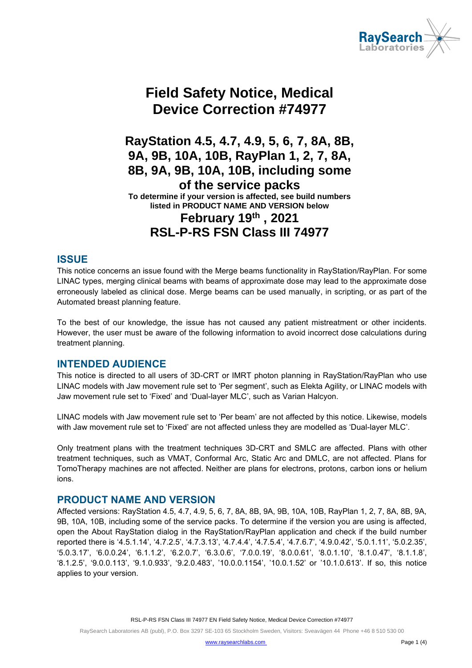

# **Field Safety Notice, Medical Device Correction #74977**

**RayStation 4.5, 4.7, 4.9, 5, 6, 7, 8A, 8B, 9A, 9B, 10A, 10B, RayPlan 1, 2, 7, 8A, 8B, 9A, 9B, 10A, 10B, including some of the service packs To determine if your version is affected, see build numbers listed in PRODUCT NAME AND VERSION below February 19th , 2021 RSL-P-RS FSN Class III 74977**

#### **ISSUE**

This notice concerns an issue found with the Merge beams functionality in RayStation/RayPlan. For some LINAC types, merging clinical beams with beams of approximate dose may lead to the approximate dose erroneously labeled as clinical dose. Merge beams can be used manually, in scripting, or as part of the Automated breast planning feature.

To the best of our knowledge, the issue has not caused any patient mistreatment or other incidents. However, the user must be aware of the following information to avoid incorrect dose calculations during treatment planning.

#### **INTENDED AUDIENCE**

This notice is directed to all users of 3D-CRT or IMRT photon planning in RayStation/RayPlan who use LINAC models with Jaw movement rule set to 'Per segment', such as Elekta Agility, or LINAC models with Jaw movement rule set to 'Fixed' and 'Dual-layer MLC', such as Varian Halcyon.

LINAC models with Jaw movement rule set to 'Per beam' are not affected by this notice. Likewise, models with Jaw movement rule set to 'Fixed' are not affected unless they are modelled as 'Dual-layer MLC'.

Only treatment plans with the treatment techniques 3D-CRT and SMLC are affected. Plans with other treatment techniques, such as VMAT, Conformal Arc, Static Arc and DMLC, are not affected. Plans for TomoTherapy machines are not affected. Neither are plans for electrons, protons, carbon ions or helium ions.

#### **PRODUCT NAME AND VERSION**

Affected versions: RayStation 4.5, 4.7, 4.9, 5, 6, 7, 8A, 8B, 9A, 9B, 10A, 10B, RayPlan 1, 2, 7, 8A, 8B, 9A, 9B, 10A, 10B, including some of the service packs. To determine if the version you are using is affected, open the About RayStation dialog in the RayStation/RayPlan application and check if the build number reported there is '4.5.1.14', '4.7.2.5', '4.7.3.13', '4.7.4.4', '4.7.5.4', '4.7.6.7', '4.9.0.42', '5.0.1.11', '5.0.2.35', '5.0.3.17', '6.0.0.24', '6.1.1.2', '6.2.0.7', '6.3.0.6', '7.0.0.19', '8.0.0.61', '8.0.1.10', '8.1.0.47', '8.1.1.8', '8.1.2.5', '9.0.0.113', '9.1.0.933', '9.2.0.483', '10.0.0.1154', '10.0.1.52' or '10.1.0.613'. If so, this notice applies to your version.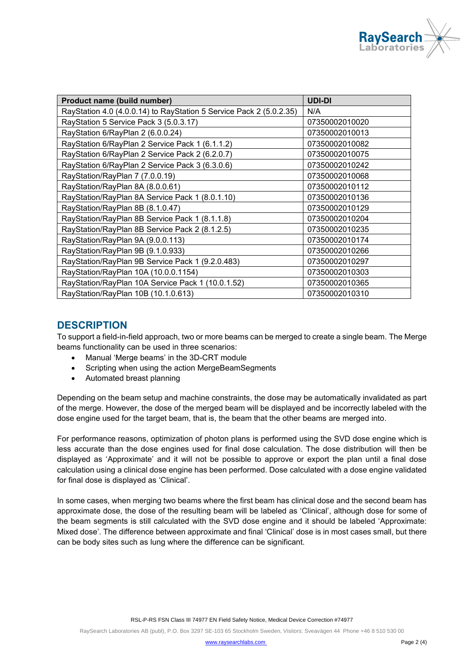

| Product name (build number)                                         | <b>UDI-DI</b>  |
|---------------------------------------------------------------------|----------------|
| RayStation 4.0 (4.0.0.14) to RayStation 5 Service Pack 2 (5.0.2.35) | N/A            |
| RayStation 5 Service Pack 3 (5.0.3.17)                              | 07350002010020 |
| RayStation 6/RayPlan 2 (6.0.0.24)                                   | 07350002010013 |
| RayStation 6/RayPlan 2 Service Pack 1 (6.1.1.2)                     | 07350002010082 |
| RayStation 6/RayPlan 2 Service Pack 2 (6.2.0.7)                     | 07350002010075 |
| RayStation 6/RayPlan 2 Service Pack 3 (6.3.0.6)                     | 07350002010242 |
| RayStation/RayPlan 7 (7.0.0.19)                                     | 07350002010068 |
| RayStation/RayPlan 8A (8.0.0.61)                                    | 07350002010112 |
| RayStation/RayPlan 8A Service Pack 1 (8.0.1.10)                     | 07350002010136 |
| RayStation/RayPlan 8B (8.1.0.47)                                    | 07350002010129 |
| RayStation/RayPlan 8B Service Pack 1 (8.1.1.8)                      | 07350002010204 |
| RayStation/RayPlan 8B Service Pack 2 (8.1.2.5)                      | 07350002010235 |
| RayStation/RayPlan 9A (9.0.0.113)                                   | 07350002010174 |
| RayStation/RayPlan 9B (9.1.0.933)                                   | 07350002010266 |
| RayStation/RayPlan 9B Service Pack 1 (9.2.0.483)                    | 07350002010297 |
| RayStation/RayPlan 10A (10.0.0.1154)                                | 07350002010303 |
| RayStation/RayPlan 10A Service Pack 1 (10.0.1.52)                   | 07350002010365 |
| RayStation/RayPlan 10B (10.1.0.613)                                 | 07350002010310 |

#### **DESCRIPTION**

To support a field-in-field approach, two or more beams can be merged to create a single beam. The Merge beams functionality can be used in three scenarios:

- Manual 'Merge beams' in the 3D-CRT module
- Scripting when using the action MergeBeamSegments
- Automated breast planning

Depending on the beam setup and machine constraints, the dose may be automatically invalidated as part of the merge. However, the dose of the merged beam will be displayed and be incorrectly labeled with the dose engine used for the target beam, that is, the beam that the other beams are merged into.

For performance reasons, optimization of photon plans is performed using the SVD dose engine which is less accurate than the dose engines used for final dose calculation. The dose distribution will then be displayed as 'Approximate' and it will not be possible to approve or export the plan until a final dose calculation using a clinical dose engine has been performed. Dose calculated with a dose engine validated for final dose is displayed as 'Clinical'.

In some cases, when merging two beams where the first beam has clinical dose and the second beam has approximate dose, the dose of the resulting beam will be labeled as 'Clinical', although dose for some of the beam segments is still calculated with the SVD dose engine and it should be labeled 'Approximate: Mixed dose'. The difference between approximate and final 'Clinical' dose is in most cases small, but there can be body sites such as lung where the difference can be significant.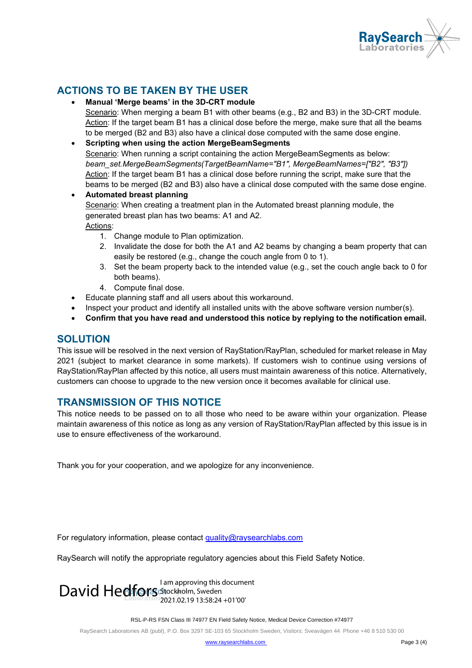

## **ACTIONS TO BE TAKEN BY THE USER**

- **Manual 'Merge beams' in the 3D-CRT module** Scenario: When merging a beam B1 with other beams (e.g., B2 and B3) in the 3D-CRT module. Action: If the target beam B1 has a clinical dose before the merge, make sure that all the beams to be merged (B2 and B3) also have a clinical dose computed with the same dose engine.
- **Scripting when using the action MergeBeamSegments** Scenario: When running a script containing the action MergeBeamSegments as below: *beam\_set.MergeBeamSegments(TargetBeamName="B1", MergeBeamNames=["B2", "B3"])* Action: If the target beam B1 has a clinical dose before running the script, make sure that the beams to be merged (B2 and B3) also have a clinical dose computed with the same dose engine.
- **Automated breast planning** Scenario: When creating a treatment plan in the Automated breast planning module, the generated breast plan has two beams: A1 and A2. Actions: 1. Change module to Plan optimization.
	- - 2. Invalidate the dose for both the A1 and A2 beams by changing a beam property that can easily be restored (e.g., change the couch angle from 0 to 1).
		- 3. Set the beam property back to the intended value (e.g., set the couch angle back to 0 for both beams).
		- 4. Compute final dose.
- Educate planning staff and all users about this workaround.
- Inspect your product and identify all installed units with the above software version number(s).
- **Confirm that you have read and understood this notice by replying to the notification email.**

#### **SOLUTION**

This issue will be resolved in the next version of RayStation/RayPlan, scheduled for market release in May 2021 (subject to market clearance in some markets). If customers wish to continue using versions of RayStation/RayPlan affected by this notice, all users must maintain awareness of this notice. Alternatively, customers can choose to upgrade to the new version once it becomes available for clinical use.

#### **TRANSMISSION OF THIS NOTICE**

This notice needs to be passed on to all those who need to be aware within your organization. Please maintain awareness of this notice as long as any version of RayStation/RayPlan affected by this issue is in use to ensure effectiveness of the workaround.

Thank you for your cooperation, and we apologize for any inconvenience.

For regulatory information, please contact [quality@raysearchlabs.com](mailto:%20quality@raysearchlabs.com)

RaySearch will notify the appropriate regulatory agencies about this Field Safety Notice.

I am approving this document<br>
David Hedfors Stockholm, Sweden 2021.02.19 13:58:24 +01'00'

RSL-P-RS FSN Class III 74977 EN Field Safety Notice, Medical Device Correction #74977

RaySearch Laboratories AB (publ), P.O. Box 3297 SE-103 65 Stockholm Sweden, Visitors: Sveavägen 44 Phone +46 8 510 530 00